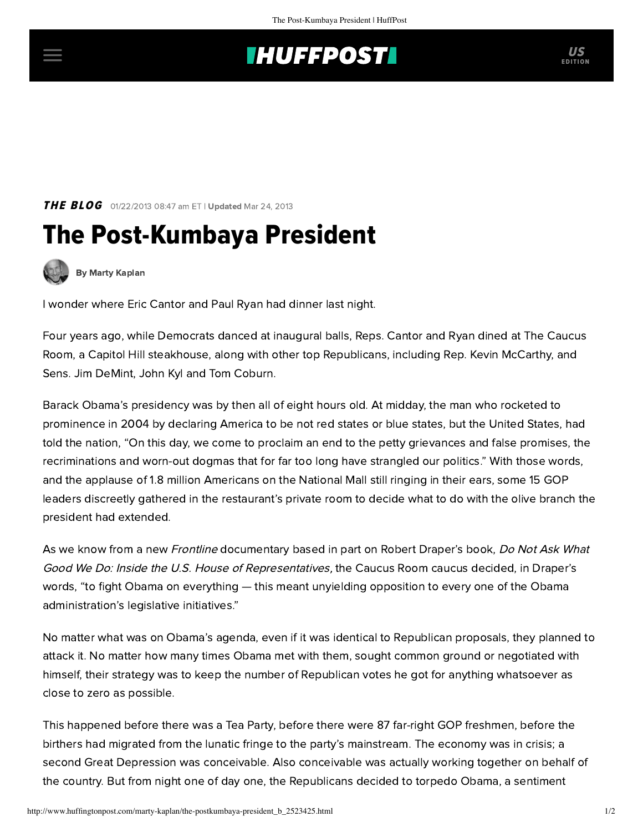## **INUFFPOSTI** US

**THE BLOG** 01/22/2013 08:47 am ET | Updated Mar 24, 2013

## The Post-Kumbaya President



[By Marty Kaplan](http://www.huffingtonpost.com/author/marty-kaplan)

I wonder where Eric Cantor and Paul Ryan had dinner last night.

Four years ago, while Democrats danced at inaugural balls, Reps. Cantor and Ryan dined at The Caucus Room, a Capitol Hill steakhouse, along with other top Republicans, including Rep. Kevin McCarthy, and Sens. Jim DeMint, John Kyl and Tom Coburn.

Barack Obama's presidency was by then all of eight hours old. At midday, the man who rocketed to prominence in 2004 by declaring America to be not red states or blue states, but the United States, had told the nation, "On this day, we come to proclaim an end to the petty grievances and false promises, the recriminations and worn-out dogmas that for far too long have strangled our politics." With those words, and the applause of 1.8 million Americans on the National Mall still ringing in their ears, some 15 GOP leaders discreetly gathered in the restaurant's private room to decide what to do with the olive branch the president had extended.

As we know from a new [Frontline](http://www.pbs.org/wgbh/pages/frontline/government-elections-politics/inside-obamas-presidency/the-republicans-plan-for-the-new-president/) documentary based in part on [Robert Draper's book,](http://www.huffingtonpost.com/2012/04/25/robert-draper-anti-obama-campaign_n_1452899.html) Do Not Ask What Good We Do: Inside the U.S. House of Representatives, the Caucus Room caucus decided, in Draper's words, "to fight Obama on everything — this meant unyielding opposition to every one of the Obama administration's legislative initiatives."

No matter what was on Obama's agenda, even if it was identical to Republican proposals, they planned to attack it. No matter how many times Obama met with them, sought common ground or negotiated with himself, their strategy was to keep the number of Republican votes he got for anything whatsoever as close to zero as possible.

This happened before there was a Tea Party, before there were 87 far-right GOP freshmen, before the birthers had migrated from the lunatic fringe to the party's mainstream. The economy was in crisis; a second Great Depression was conceivable. Also conceivable was actually working together on behalf of the country. But from night one of day one, the Republicans decided to torpedo Obama, a sentiment